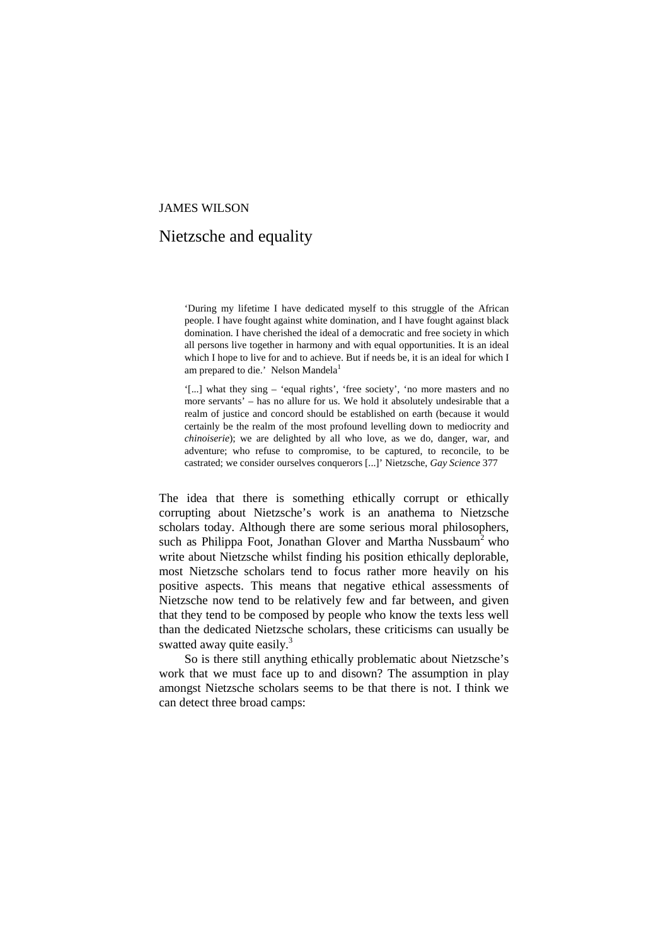### JAMES WILSON

# Nietzsche and equality

'During my lifetime I have dedicated myself to this struggle of the African people. I have fought against white domination, and I have fought against black domination. I have cherished the ideal of a democratic and free society in which all persons live together in harmony and with equal opportunities. It is an ideal which I hope to live for and to achieve. But if needs be, it is an ideal for which I am prepared to die.' Nelson Mandela<sup>1</sup>

'[...] what they sing – 'equal rights', 'free society', 'no more masters and no more servants' – has no allure for us. We hold it absolutely undesirable that a realm of justice and concord should be established on earth (because it would certainly be the realm of the most profound levelling down to mediocrity and *chinoiserie*); we are delighted by all who love, as we do, danger, war, and adventure; who refuse to compromise, to be captured, to reconcile, to be castrated; we consider ourselves conquerors [...]' Nietzsche, *Gay Science* 377

The idea that there is something ethically corrupt or ethically corrupting about Nietzsche's work is an anathema to Nietzsche scholars today. Although there are some serious moral philosophers, such as Philippa Foot, Jonathan Glover and Martha Nussbaum<sup>2</sup> who write about Nietzsche whilst finding his position ethically deplorable, most Nietzsche scholars tend to focus rather more heavily on his positive aspects. This means that negative ethical assessments of Nietzsche now tend to be relatively few and far between, and given that they tend to be composed by people who know the texts less well than the dedicated Nietzsche scholars, these criticisms can usually be swatted away quite easily.<sup>3</sup>

So is there still anything ethically problematic about Nietzsche's work that we must face up to and disown? The assumption in play amongst Nietzsche scholars seems to be that there is not. I think we can detect three broad camps: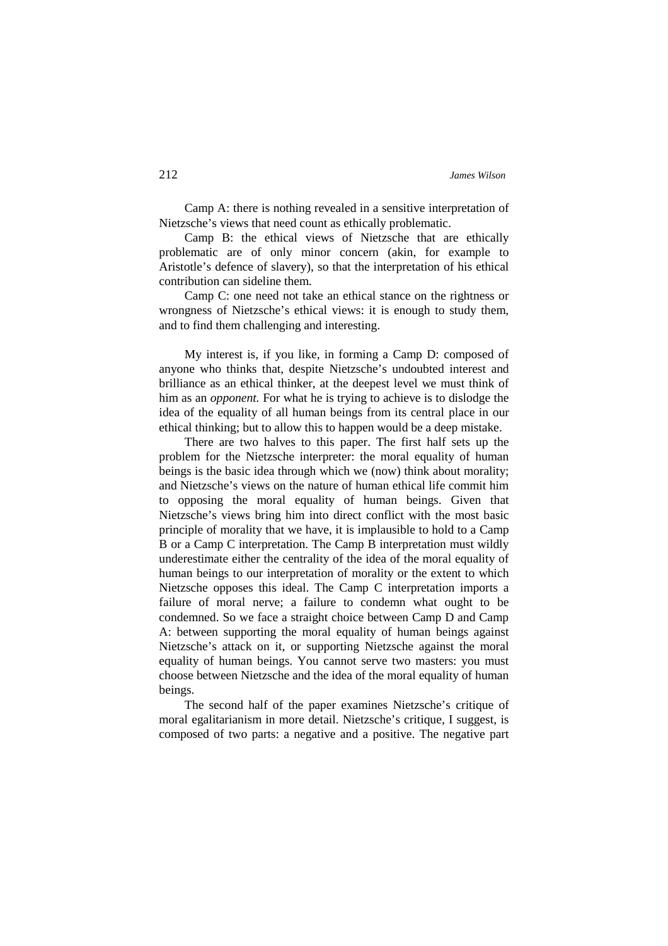Camp A: there is nothing revealed in a sensitive interpretation of Nietzsche's views that need count as ethically problematic.

Camp B: the ethical views of Nietzsche that are ethically problematic are of only minor concern (akin, for example to Aristotle's defence of slavery), so that the interpretation of his ethical contribution can sideline them.

Camp C: one need not take an ethical stance on the rightness or wrongness of Nietzsche's ethical views: it is enough to study them, and to find them challenging and interesting.

My interest is, if you like, in forming a Camp D: composed of anyone who thinks that, despite Nietzsche's undoubted interest and brilliance as an ethical thinker, at the deepest level we must think of him as an *opponent.* For what he is trying to achieve is to dislodge the idea of the equality of all human beings from its central place in our ethical thinking; but to allow this to happen would be a deep mistake.

There are two halves to this paper. The first half sets up the problem for the Nietzsche interpreter: the moral equality of human beings is the basic idea through which we (now) think about morality; and Nietzsche's views on the nature of human ethical life commit him to opposing the moral equality of human beings. Given that Nietzsche's views bring him into direct conflict with the most basic principle of morality that we have, it is implausible to hold to a Camp B or a Camp C interpretation. The Camp B interpretation must wildly underestimate either the centrality of the idea of the moral equality of human beings to our interpretation of morality or the extent to which Nietzsche opposes this ideal. The Camp C interpretation imports a failure of moral nerve; a failure to condemn what ought to be condemned. So we face a straight choice between Camp D and Camp A: between supporting the moral equality of human beings against Nietzsche's attack on it, or supporting Nietzsche against the moral equality of human beings. You cannot serve two masters: you must choose between Nietzsche and the idea of the moral equality of human beings.

The second half of the paper examines Nietzsche's critique of moral egalitarianism in more detail. Nietzsche's critique, I suggest, is composed of two parts: a negative and a positive. The negative part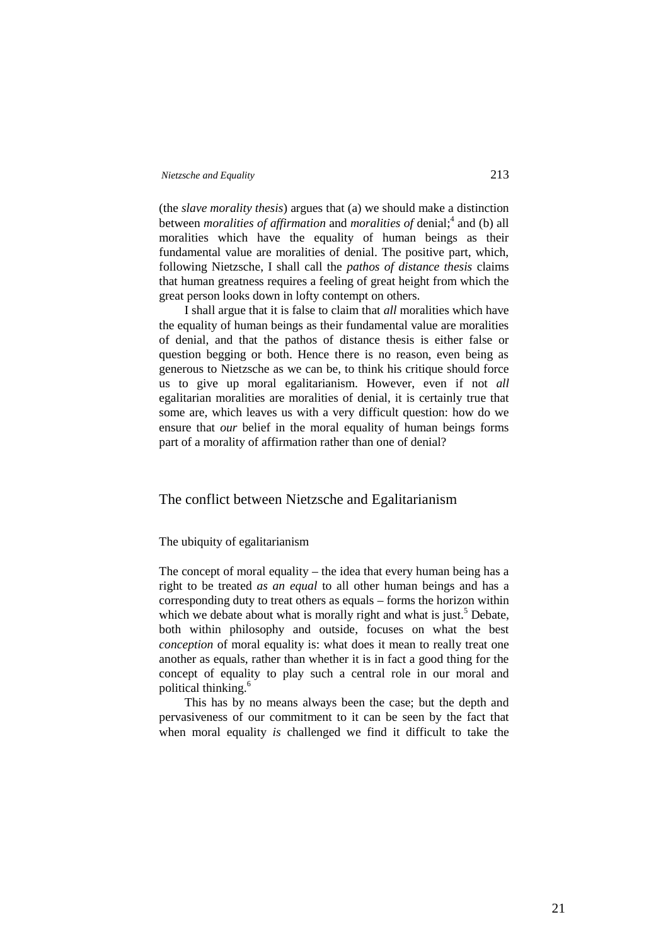(the *slave morality thesis*) argues that (a) we should make a distinction between *moralities of affirmation* and *moralities of* denial;<sup>4</sup> and (b) all moralities which have the equality of human beings as their fundamental value are moralities of denial. The positive part, which, following Nietzsche, I shall call the *pathos of distance thesis* claims that human greatness requires a feeling of great height from which the great person looks down in lofty contempt on others.

I shall argue that it is false to claim that *all* moralities which have the equality of human beings as their fundamental value are moralities of denial, and that the pathos of distance thesis is either false or question begging or both. Hence there is no reason, even being as generous to Nietzsche as we can be, to think his critique should force us to give up moral egalitarianism. However, even if not *all* egalitarian moralities are moralities of denial, it is certainly true that some are, which leaves us with a very difficult question: how do we ensure that *our* belief in the moral equality of human beings forms part of a morality of affirmation rather than one of denial?

# The conflict between Nietzsche and Egalitarianism

### The ubiquity of egalitarianism

The concept of moral equality – the idea that every human being has a right to be treated *as an equal* to all other human beings and has a corresponding duty to treat others as equals – forms the horizon within which we debate about what is morally right and what is just.<sup>5</sup> Debate, both within philosophy and outside, focuses on what the best *conception* of moral equality is: what does it mean to really treat one another as equals, rather than whether it is in fact a good thing for the concept of equality to play such a central role in our moral and political thinking.<sup>6</sup>

This has by no means always been the case; but the depth and pervasiveness of our commitment to it can be seen by the fact that when moral equality *is* challenged we find it difficult to take the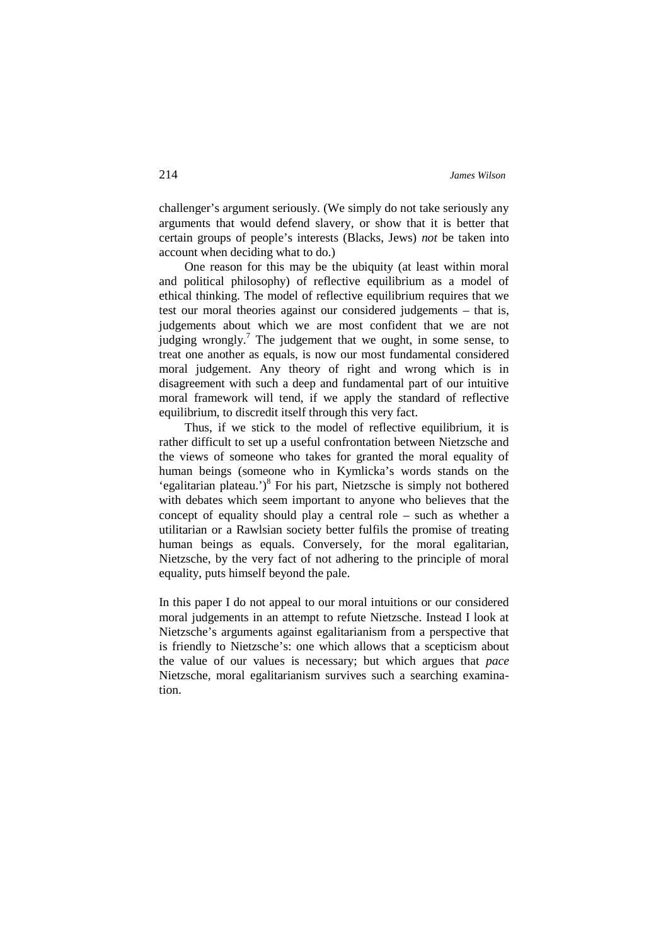challenger's argument seriously. (We simply do not take seriously any arguments that would defend slavery, or show that it is better that certain groups of people's interests (Blacks, Jews) *not* be taken into account when deciding what to do.)

One reason for this may be the ubiquity (at least within moral and political philosophy) of reflective equilibrium as a model of ethical thinking. The model of reflective equilibrium requires that we test our moral theories against our considered judgements – that is, judgements about which we are most confident that we are not judging wrongly.<sup>7</sup> The judgement that we ought, in some sense, to treat one another as equals, is now our most fundamental considered moral judgement. Any theory of right and wrong which is in disagreement with such a deep and fundamental part of our intuitive moral framework will tend, if we apply the standard of reflective equilibrium, to discredit itself through this very fact.

Thus, if we stick to the model of reflective equilibrium, it is rather difficult to set up a useful confrontation between Nietzsche and the views of someone who takes for granted the moral equality of human beings (someone who in Kymlicka's words stands on the 'egalitarian plateau.')<sup>8</sup> For his part, Nietzsche is simply not bothered with debates which seem important to anyone who believes that the concept of equality should play a central role – such as whether a utilitarian or a Rawlsian society better fulfils the promise of treating human beings as equals. Conversely, for the moral egalitarian, Nietzsche, by the very fact of not adhering to the principle of moral equality, puts himself beyond the pale.

In this paper I do not appeal to our moral intuitions or our considered moral judgements in an attempt to refute Nietzsche. Instead I look at Nietzsche's arguments against egalitarianism from a perspective that is friendly to Nietzsche's: one which allows that a scepticism about the value of our values is necessary; but which argues that *pace* Nietzsche, moral egalitarianism survives such a searching examination.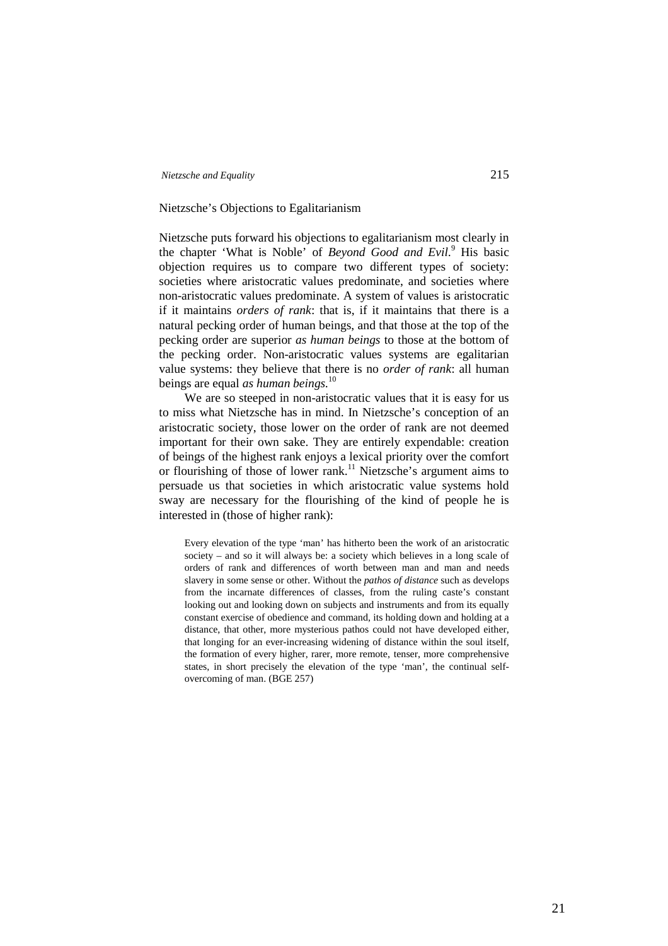## Nietzsche's Objections to Egalitarianism

Nietzsche puts forward his objections to egalitarianism most clearly in the chapter 'What is Noble' of *Beyond Good and Evil.*<sup>9</sup> His basic objection requires us to compare two different types of society: societies where aristocratic values predominate, and societies where non-aristocratic values predominate. A system of values is aristocratic if it maintains *orders of rank*: that is, if it maintains that there is a natural pecking order of human beings, and that those at the top of the pecking order are superior *as human beings* to those at the bottom of the pecking order. Non-aristocratic values systems are egalitarian value systems: they believe that there is no *order of rank*: all human beings are equal *as human beings.*<sup>10</sup>

We are so steeped in non-aristocratic values that it is easy for us to miss what Nietzsche has in mind. In Nietzsche's conception of an aristocratic society, those lower on the order of rank are not deemed important for their own sake. They are entirely expendable: creation of beings of the highest rank enjoys a lexical priority over the comfort or flourishing of those of lower rank.<sup>11</sup> Nietzsche's argument aims to persuade us that societies in which aristocratic value systems hold sway are necessary for the flourishing of the kind of people he is interested in (those of higher rank):

Every elevation of the type 'man' has hitherto been the work of an aristocratic society – and so it will always be: a society which believes in a long scale of orders of rank and differences of worth between man and man and needs slavery in some sense or other. Without the *pathos of distance* such as develops from the incarnate differences of classes, from the ruling caste's constant looking out and looking down on subjects and instruments and from its equally constant exercise of obedience and command, its holding down and holding at a distance, that other, more mysterious pathos could not have developed either, that longing for an ever-increasing widening of distance within the soul itself, the formation of every higher, rarer, more remote, tenser, more comprehensive states, in short precisely the elevation of the type 'man', the continual selfovercoming of man. (BGE 257)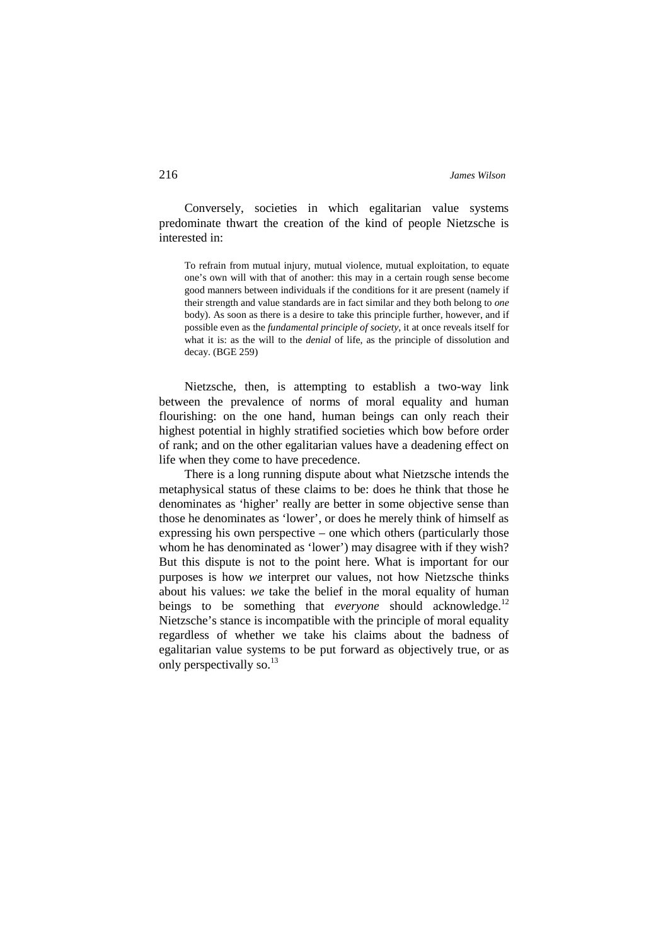Conversely, societies in which egalitarian value systems predominate thwart the creation of the kind of people Nietzsche is interested in:

To refrain from mutual injury, mutual violence, mutual exploitation, to equate one's own will with that of another: this may in a certain rough sense become good manners between individuals if the conditions for it are present (namely if their strength and value standards are in fact similar and they both belong to *one* body). As soon as there is a desire to take this principle further, however, and if possible even as the *fundamental principle of society,* it at once reveals itself for what it is: as the will to the *denial* of life, as the principle of dissolution and decay. (BGE 259)

Nietzsche, then, is attempting to establish a two-way link between the prevalence of norms of moral equality and human flourishing: on the one hand, human beings can only reach their highest potential in highly stratified societies which bow before order of rank; and on the other egalitarian values have a deadening effect on life when they come to have precedence.

There is a long running dispute about what Nietzsche intends the metaphysical status of these claims to be: does he think that those he denominates as 'higher' really are better in some objective sense than those he denominates as 'lower', or does he merely think of himself as expressing his own perspective – one which others (particularly those whom he has denominated as 'lower') may disagree with if they wish? But this dispute is not to the point here. What is important for our purposes is how *we* interpret our values, not how Nietzsche thinks about his values: *we* take the belief in the moral equality of human beings to be something that *everyone* should acknowledge.<sup>12</sup> Nietzsche's stance is incompatible with the principle of moral equality regardless of whether we take his claims about the badness of egalitarian value systems to be put forward as objectively true, or as only perspectivally so.<sup>13</sup>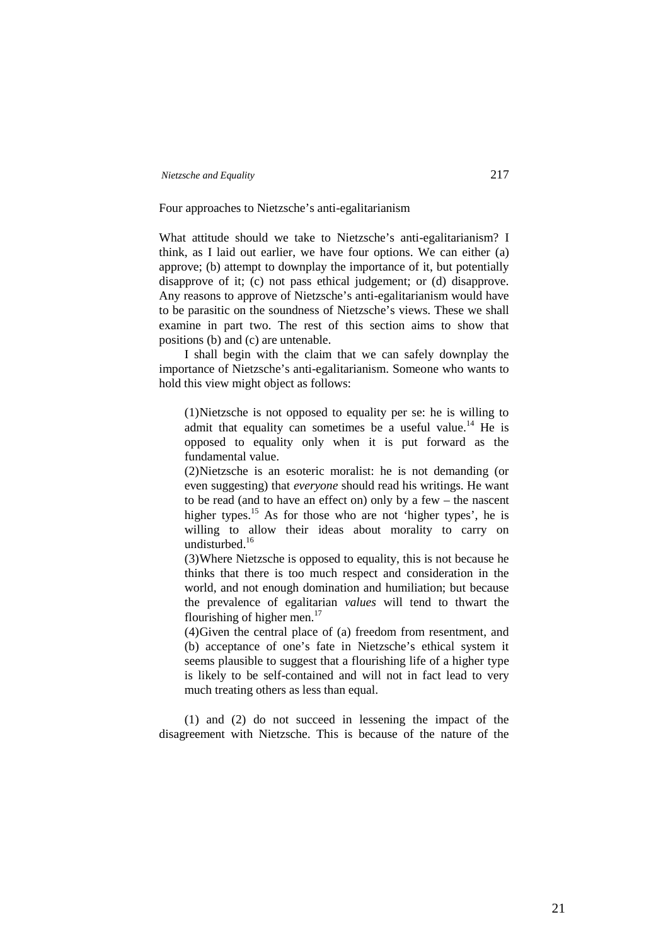Four approaches to Nietzsche's anti-egalitarianism

What attitude should we take to Nietzsche's anti-egalitarianism? I think, as I laid out earlier, we have four options. We can either (a) approve; (b) attempt to downplay the importance of it, but potentially disapprove of it; (c) not pass ethical judgement; or (d) disapprove. Any reasons to approve of Nietzsche's anti-egalitarianism would have to be parasitic on the soundness of Nietzsche's views. These we shall examine in part two. The rest of this section aims to show that positions (b) and (c) are untenable.

I shall begin with the claim that we can safely downplay the importance of Nietzsche's anti-egalitarianism. Someone who wants to hold this view might object as follows:

(1)Nietzsche is not opposed to equality per se: he is willing to admit that equality can sometimes be a useful value.<sup>14</sup> He is opposed to equality only when it is put forward as the fundamental value.

(2)Nietzsche is an esoteric moralist: he is not demanding (or even suggesting) that *everyone* should read his writings. He want to be read (and to have an effect on) only by a few – the nascent higher types.<sup>15</sup> As for those who are not 'higher types', he is willing to allow their ideas about morality to carry on undisturbed.<sup>16</sup>

(3)Where Nietzsche is opposed to equality, this is not because he thinks that there is too much respect and consideration in the world, and not enough domination and humiliation; but because the prevalence of egalitarian *values* will tend to thwart the flourishing of higher men. $^{17}$ 

(4)Given the central place of (a) freedom from resentment, and (b) acceptance of one's fate in Nietzsche's ethical system it seems plausible to suggest that a flourishing life of a higher type is likely to be self-contained and will not in fact lead to very much treating others as less than equal.

(1) and (2) do not succeed in lessening the impact of the disagreement with Nietzsche. This is because of the nature of the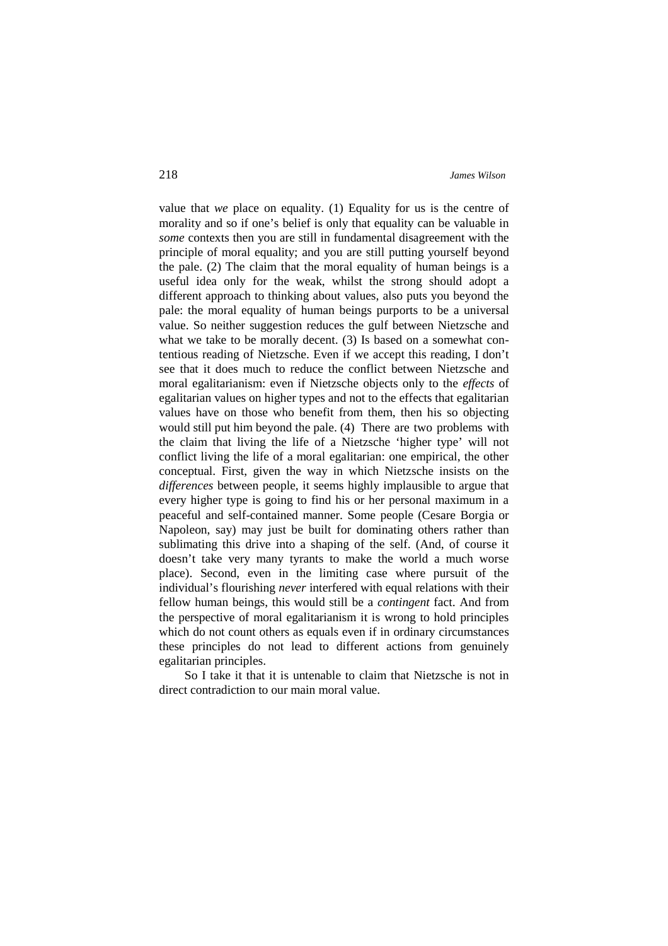value that *we* place on equality. (1) Equality for us is the centre of morality and so if one's belief is only that equality can be valuable in *some* contexts then you are still in fundamental disagreement with the principle of moral equality; and you are still putting yourself beyond the pale. (2) The claim that the moral equality of human beings is a useful idea only for the weak, whilst the strong should adopt a different approach to thinking about values, also puts you beyond the pale: the moral equality of human beings purports to be a universal value. So neither suggestion reduces the gulf between Nietzsche and what we take to be morally decent. (3) Is based on a somewhat contentious reading of Nietzsche. Even if we accept this reading, I don't see that it does much to reduce the conflict between Nietzsche and moral egalitarianism: even if Nietzsche objects only to the *effects* of egalitarian values on higher types and not to the effects that egalitarian values have on those who benefit from them, then his so objecting would still put him beyond the pale. (4) There are two problems with the claim that living the life of a Nietzsche 'higher type' will not conflict living the life of a moral egalitarian: one empirical, the other conceptual. First, given the way in which Nietzsche insists on the *differences* between people, it seems highly implausible to argue that every higher type is going to find his or her personal maximum in a peaceful and self-contained manner. Some people (Cesare Borgia or Napoleon, say) may just be built for dominating others rather than sublimating this drive into a shaping of the self. (And, of course it doesn't take very many tyrants to make the world a much worse place). Second, even in the limiting case where pursuit of the individual's flourishing *never* interfered with equal relations with their fellow human beings, this would still be a *contingent* fact. And from the perspective of moral egalitarianism it is wrong to hold principles which do not count others as equals even if in ordinary circumstances these principles do not lead to different actions from genuinely egalitarian principles.

So I take it that it is untenable to claim that Nietzsche is not in direct contradiction to our main moral value.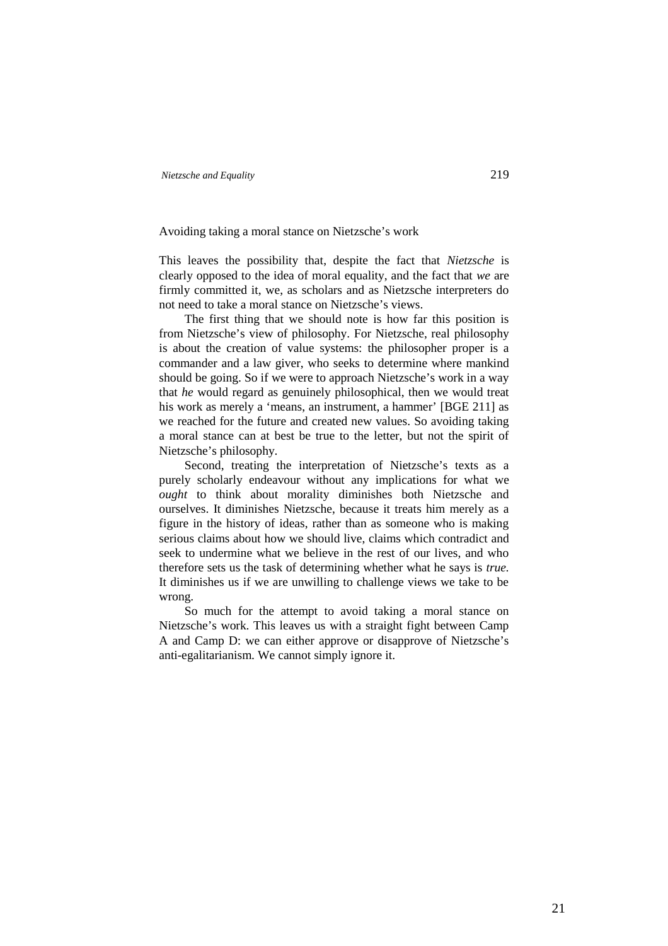### Avoiding taking a moral stance on Nietzsche's work

This leaves the possibility that, despite the fact that *Nietzsche* is clearly opposed to the idea of moral equality, and the fact that *we* are firmly committed it, we, as scholars and as Nietzsche interpreters do not need to take a moral stance on Nietzsche's views.

The first thing that we should note is how far this position is from Nietzsche's view of philosophy. For Nietzsche, real philosophy is about the creation of value systems: the philosopher proper is a commander and a law giver, who seeks to determine where mankind should be going. So if we were to approach Nietzsche's work in a way that *he* would regard as genuinely philosophical, then we would treat his work as merely a 'means, an instrument, a hammer' [BGE 211] as we reached for the future and created new values. So avoiding taking a moral stance can at best be true to the letter, but not the spirit of Nietzsche's philosophy.

Second, treating the interpretation of Nietzsche's texts as a purely scholarly endeavour without any implications for what we *ought* to think about morality diminishes both Nietzsche and ourselves. It diminishes Nietzsche, because it treats him merely as a figure in the history of ideas, rather than as someone who is making serious claims about how we should live, claims which contradict and seek to undermine what we believe in the rest of our lives, and who therefore sets us the task of determining whether what he says is *true.* It diminishes us if we are unwilling to challenge views we take to be wrong.

So much for the attempt to avoid taking a moral stance on Nietzsche's work. This leaves us with a straight fight between Camp A and Camp D: we can either approve or disapprove of Nietzsche's anti-egalitarianism. We cannot simply ignore it.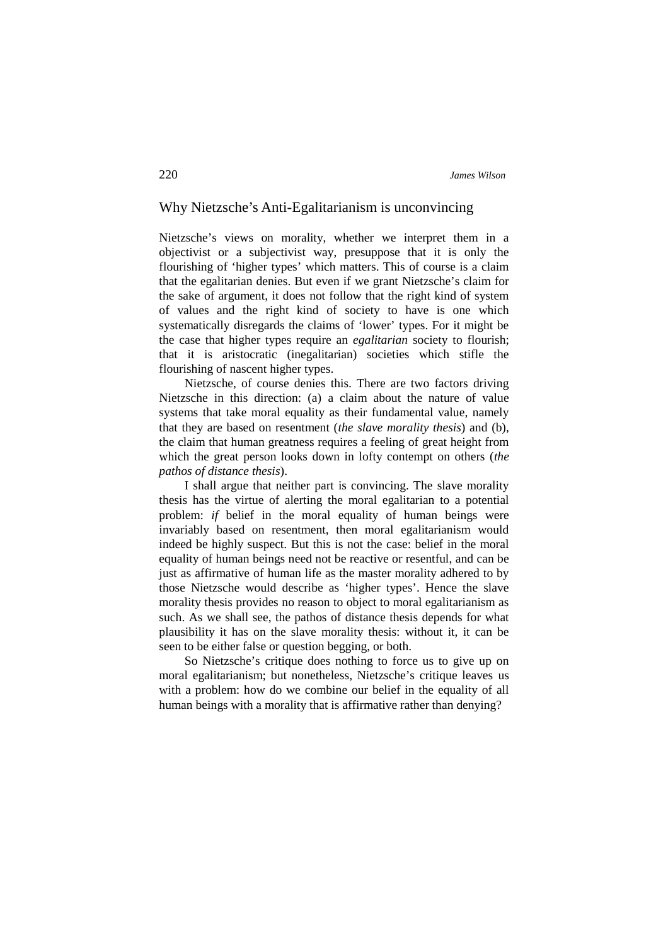# Why Nietzsche's Anti-Egalitarianism is unconvincing

Nietzsche's views on morality, whether we interpret them in a objectivist or a subjectivist way, presuppose that it is only the flourishing of 'higher types' which matters. This of course is a claim that the egalitarian denies. But even if we grant Nietzsche's claim for the sake of argument, it does not follow that the right kind of system of values and the right kind of society to have is one which systematically disregards the claims of 'lower' types. For it might be the case that higher types require an *egalitarian* society to flourish; that it is aristocratic (inegalitarian) societies which stifle the flourishing of nascent higher types.

Nietzsche, of course denies this. There are two factors driving Nietzsche in this direction: (a) a claim about the nature of value systems that take moral equality as their fundamental value, namely that they are based on resentment (*the slave morality thesis*) and (b), the claim that human greatness requires a feeling of great height from which the great person looks down in lofty contempt on others (*the pathos of distance thesis*).

I shall argue that neither part is convincing. The slave morality thesis has the virtue of alerting the moral egalitarian to a potential problem: *if* belief in the moral equality of human beings were invariably based on resentment, then moral egalitarianism would indeed be highly suspect. But this is not the case: belief in the moral equality of human beings need not be reactive or resentful, and can be just as affirmative of human life as the master morality adhered to by those Nietzsche would describe as 'higher types'. Hence the slave morality thesis provides no reason to object to moral egalitarianism as such. As we shall see, the pathos of distance thesis depends for what plausibility it has on the slave morality thesis: without it, it can be seen to be either false or question begging, or both.

So Nietzsche's critique does nothing to force us to give up on moral egalitarianism; but nonetheless, Nietzsche's critique leaves us with a problem: how do we combine our belief in the equality of all human beings with a morality that is affirmative rather than denying?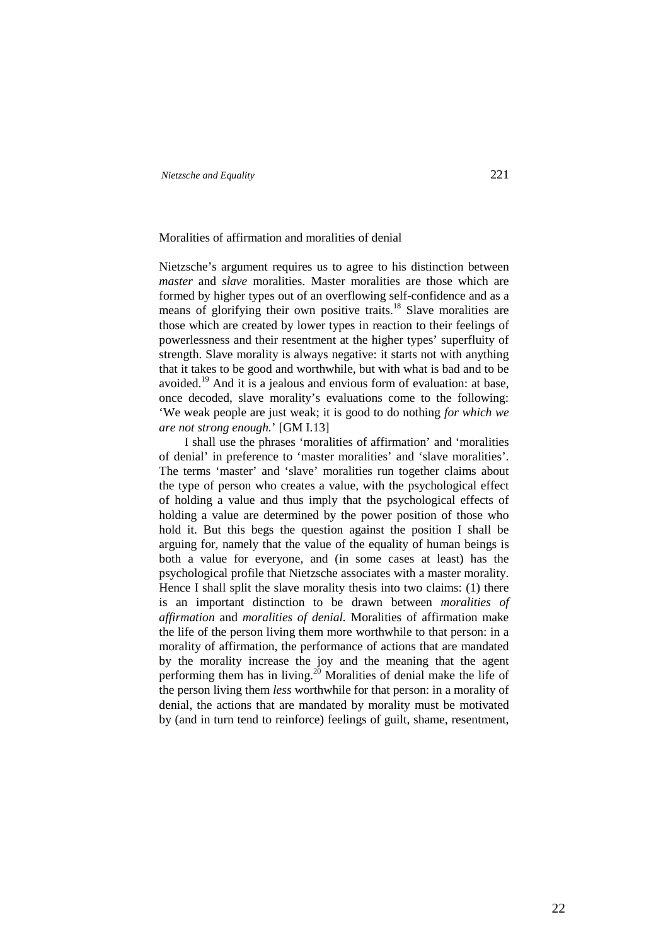### Moralities of affirmation and moralities of denial

Nietzsche's argument requires us to agree to his distinction between *master* and *slave* moralities. Master moralities are those which are formed by higher types out of an overflowing self-confidence and as a means of glorifying their own positive traits.<sup>18</sup> Slave moralities are those which are created by lower types in reaction to their feelings of powerlessness and their resentment at the higher types' superfluity of strength. Slave morality is always negative: it starts not with anything that it takes to be good and worthwhile, but with what is bad and to be avoided.<sup>19</sup> And it is a jealous and envious form of evaluation: at base, once decoded, slave morality's evaluations come to the following: 'We weak people are just weak; it is good to do nothing *for which we are not strong enough.*' [GM I.13]

I shall use the phrases 'moralities of affirmation' and 'moralities of denial' in preference to 'master moralities' and 'slave moralities'. The terms 'master' and 'slave' moralities run together claims about the type of person who creates a value, with the psychological effect of holding a value and thus imply that the psychological effects of holding a value are determined by the power position of those who hold it. But this begs the question against the position I shall be arguing for, namely that the value of the equality of human beings is both a value for everyone, and (in some cases at least) has the psychological profile that Nietzsche associates with a master morality. Hence I shall split the slave morality thesis into two claims: (1) there is an important distinction to be drawn between *moralities of affirmation* and *moralities of denial.* Moralities of affirmation make the life of the person living them more worthwhile to that person: in a morality of affirmation, the performance of actions that are mandated by the morality increase the joy and the meaning that the agent performing them has in living.<sup>20</sup> Moralities of denial make the life of the person living them *less* worthwhile for that person: in a morality of denial, the actions that are mandated by morality must be motivated by (and in turn tend to reinforce) feelings of guilt, shame, resentment,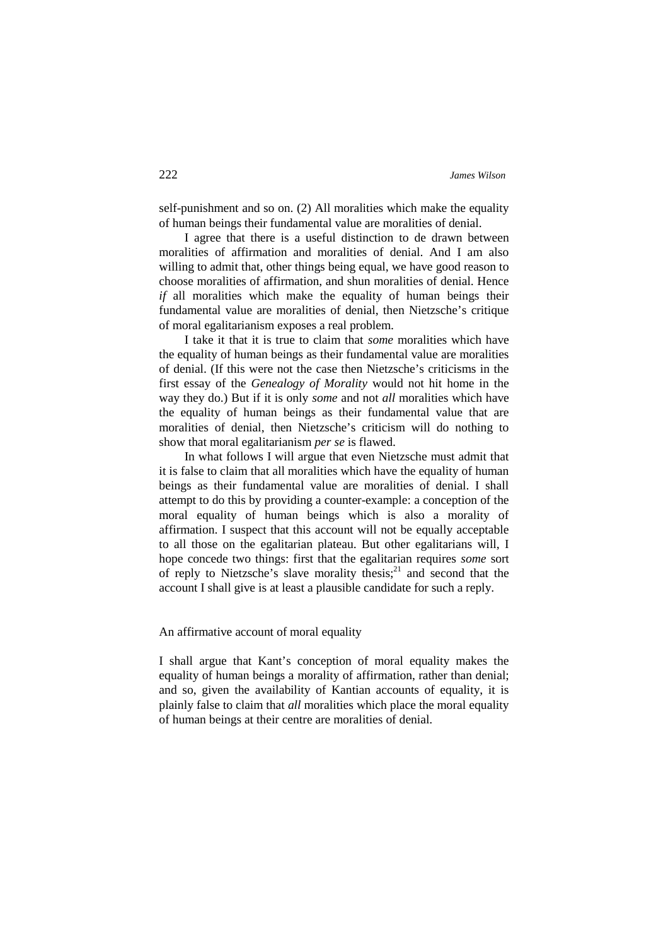self-punishment and so on. (2) All moralities which make the equality of human beings their fundamental value are moralities of denial.

I agree that there is a useful distinction to de drawn between moralities of affirmation and moralities of denial. And I am also willing to admit that, other things being equal, we have good reason to choose moralities of affirmation, and shun moralities of denial. Hence *if* all moralities which make the equality of human beings their fundamental value are moralities of denial, then Nietzsche's critique of moral egalitarianism exposes a real problem.

I take it that it is true to claim that *some* moralities which have the equality of human beings as their fundamental value are moralities of denial. (If this were not the case then Nietzsche's criticisms in the first essay of the *Genealogy of Morality* would not hit home in the way they do.) But if it is only *some* and not *all* moralities which have the equality of human beings as their fundamental value that are moralities of denial, then Nietzsche's criticism will do nothing to show that moral egalitarianism *per se* is flawed.

In what follows I will argue that even Nietzsche must admit that it is false to claim that all moralities which have the equality of human beings as their fundamental value are moralities of denial. I shall attempt to do this by providing a counter-example: a conception of the moral equality of human beings which is also a morality of affirmation. I suspect that this account will not be equally acceptable to all those on the egalitarian plateau. But other egalitarians will, I hope concede two things: first that the egalitarian requires *some* sort of reply to Nietzsche's slave morality thesis;<sup>21</sup> and second that the account I shall give is at least a plausible candidate for such a reply.

## An affirmative account of moral equality

I shall argue that Kant's conception of moral equality makes the equality of human beings a morality of affirmation, rather than denial; and so, given the availability of Kantian accounts of equality, it is plainly false to claim that *all* moralities which place the moral equality of human beings at their centre are moralities of denial.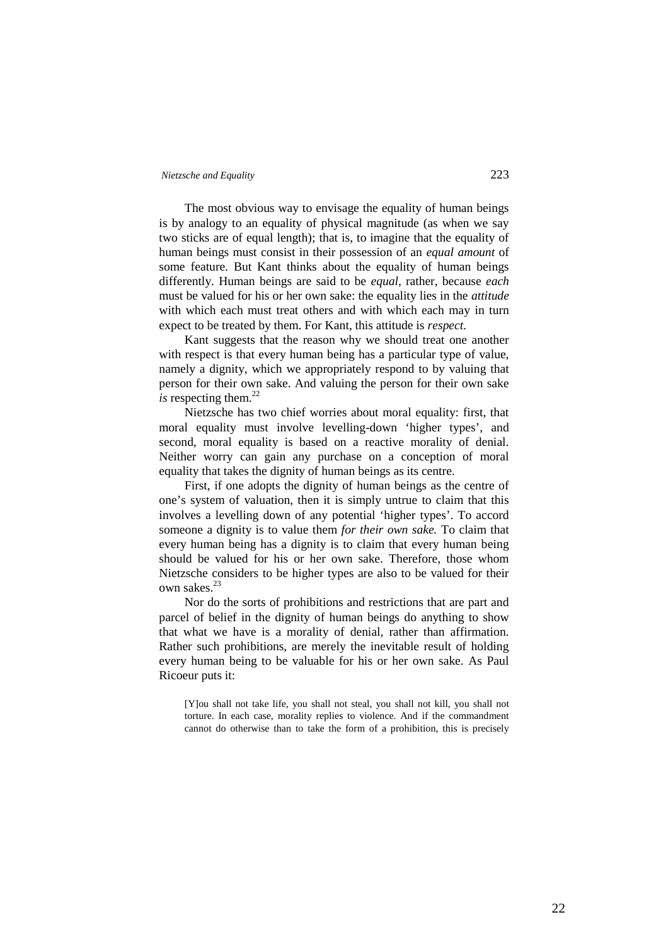The most obvious way to envisage the equality of human beings is by analogy to an equality of physical magnitude (as when we say two sticks are of equal length); that is, to imagine that the equality of human beings must consist in their possession of an *equal amount* of some feature. But Kant thinks about the equality of human beings differently. Human beings are said to be *equal,* rather, because *each* must be valued for his or her own sake: the equality lies in the *attitude* with which each must treat others and with which each may in turn expect to be treated by them. For Kant, this attitude is *respect.*

Kant suggests that the reason why we should treat one another with respect is that every human being has a particular type of value, namely a dignity, which we appropriately respond to by valuing that person for their own sake. And valuing the person for their own sake  $i$ s respecting them.<sup>22</sup>

Nietzsche has two chief worries about moral equality: first, that moral equality must involve levelling-down 'higher types', and second, moral equality is based on a reactive morality of denial. Neither worry can gain any purchase on a conception of moral equality that takes the dignity of human beings as its centre.

First, if one adopts the dignity of human beings as the centre of one's system of valuation, then it is simply untrue to claim that this involves a levelling down of any potential 'higher types'. To accord someone a dignity is to value them *for their own sake.* To claim that every human being has a dignity is to claim that every human being should be valued for his or her own sake. Therefore, those whom Nietzsche considers to be higher types are also to be valued for their own sakes.<sup>23</sup>

Nor do the sorts of prohibitions and restrictions that are part and parcel of belief in the dignity of human beings do anything to show that what we have is a morality of denial, rather than affirmation. Rather such prohibitions, are merely the inevitable result of holding every human being to be valuable for his or her own sake. As Paul Ricoeur puts it:

[Y]ou shall not take life, you shall not steal, you shall not kill, you shall not torture. In each case, morality replies to violence. And if the commandment cannot do otherwise than to take the form of a prohibition, this is precisely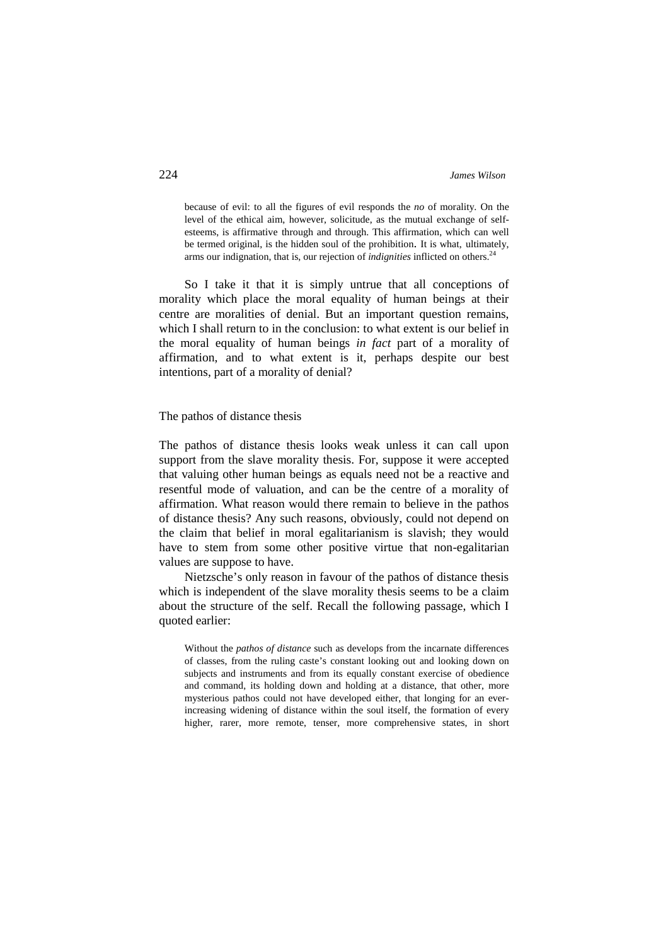because of evil: to all the figures of evil responds the *no* of morality. On the level of the ethical aim, however, solicitude, as the mutual exchange of selfesteems, is affirmative through and through. This affirmation, which can well be termed original, is the hidden soul of the prohibition. It is what, ultimately, arms our indignation, that is, our rejection of *indignities* inflicted on others.<sup>24</sup>

So I take it that it is simply untrue that all conceptions of morality which place the moral equality of human beings at their centre are moralities of denial. But an important question remains, which I shall return to in the conclusion: to what extent is our belief in the moral equality of human beings *in fact* part of a morality of affirmation, and to what extent is it, perhaps despite our best intentions, part of a morality of denial?

### The pathos of distance thesis

The pathos of distance thesis looks weak unless it can call upon support from the slave morality thesis. For, suppose it were accepted that valuing other human beings as equals need not be a reactive and resentful mode of valuation, and can be the centre of a morality of affirmation. What reason would there remain to believe in the pathos of distance thesis? Any such reasons, obviously, could not depend on the claim that belief in moral egalitarianism is slavish; they would have to stem from some other positive virtue that non-egalitarian values are suppose to have.

Nietzsche's only reason in favour of the pathos of distance thesis which is independent of the slave morality thesis seems to be a claim about the structure of the self. Recall the following passage, which I quoted earlier:

Without the *pathos of distance* such as develops from the incarnate differences of classes, from the ruling caste's constant looking out and looking down on subjects and instruments and from its equally constant exercise of obedience and command, its holding down and holding at a distance, that other, more mysterious pathos could not have developed either, that longing for an everincreasing widening of distance within the soul itself, the formation of every higher, rarer, more remote, tenser, more comprehensive states, in short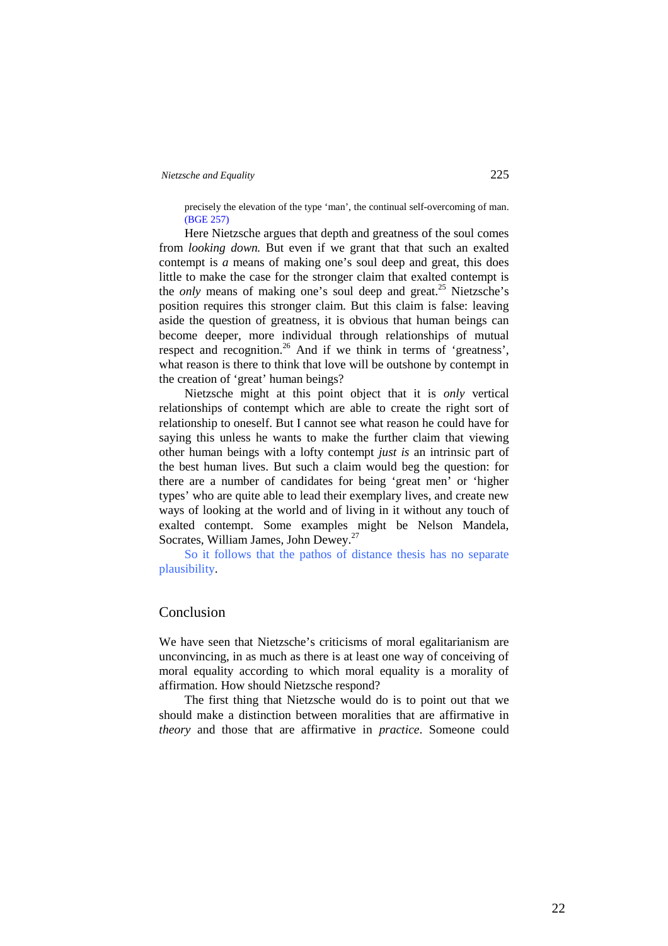precisely the elevation of the type 'man', the continual self-overcoming of man. (BGE 257)

Here Nietzsche argues that depth and greatness of the soul comes from *looking down.* But even if we grant that that such an exalted contempt is *a* means of making one's soul deep and great, this does little to make the case for the stronger claim that exalted contempt is the *only* means of making one's soul deep and great.<sup>25</sup> Nietzsche's position requires this stronger claim. But this claim is false: leaving aside the question of greatness, it is obvious that human beings can become deeper, more individual through relationships of mutual respect and recognition.<sup>26</sup> And if we think in terms of 'greatness', what reason is there to think that love will be outshone by contempt in the creation of 'great' human beings?

Nietzsche might at this point object that it is *only* vertical relationships of contempt which are able to create the right sort of relationship to oneself. But I cannot see what reason he could have for saying this unless he wants to make the further claim that viewing other human beings with a lofty contempt *just is* an intrinsic part of the best human lives. But such a claim would beg the question: for there are a number of candidates for being 'great men' or 'higher types' who are quite able to lead their exemplary lives, and create new ways of looking at the world and of living in it without any touch of exalted contempt. Some examples might be Nelson Mandela, Socrates, William James, John Dewey.<sup>27</sup>

So it follows that the pathos of distance thesis has no separate plausibility.

# Conclusion

We have seen that Nietzsche's criticisms of moral egalitarianism are unconvincing, in as much as there is at least one way of conceiving of moral equality according to which moral equality is a morality of affirmation. How should Nietzsche respond?

The first thing that Nietzsche would do is to point out that we should make a distinction between moralities that are affirmative in *theory* and those that are affirmative in *practice*. Someone could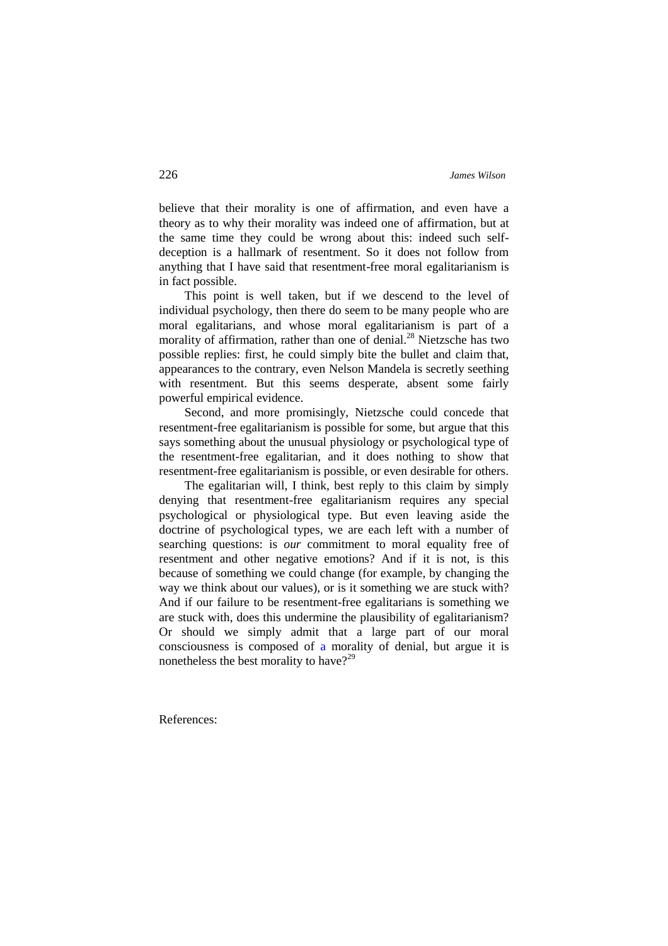believe that their morality is one of affirmation, and even have a theory as to why their morality was indeed one of affirmation, but at the same time they could be wrong about this: indeed such selfdeception is a hallmark of resentment. So it does not follow from anything that I have said that resentment-free moral egalitarianism is in fact possible.

This point is well taken, but if we descend to the level of individual psychology, then there do seem to be many people who are moral egalitarians, and whose moral egalitarianism is part of a morality of affirmation, rather than one of denial.<sup>28</sup> Nietzsche has two possible replies: first, he could simply bite the bullet and claim that, appearances to the contrary, even Nelson Mandela is secretly seething with resentment. But this seems desperate, absent some fairly powerful empirical evidence.

Second, and more promisingly, Nietzsche could concede that resentment-free egalitarianism is possible for some, but argue that this says something about the unusual physiology or psychological type of the resentment-free egalitarian, and it does nothing to show that resentment-free egalitarianism is possible, or even desirable for others.

The egalitarian will, I think, best reply to this claim by simply denying that resentment-free egalitarianism requires any special psychological or physiological type. But even leaving aside the doctrine of psychological types, we are each left with a number of searching questions: is *our* commitment to moral equality free of resentment and other negative emotions? And if it is not, is this because of something we could change (for example, by changing the way we think about our values), or is it something we are stuck with? And if our failure to be resentment-free egalitarians is something we are stuck with, does this undermine the plausibility of egalitarianism? Or should we simply admit that a large part of our moral consciousness is composed of a morality of denial, but argue it is nonetheless the best morality to have?<sup>29</sup>

References: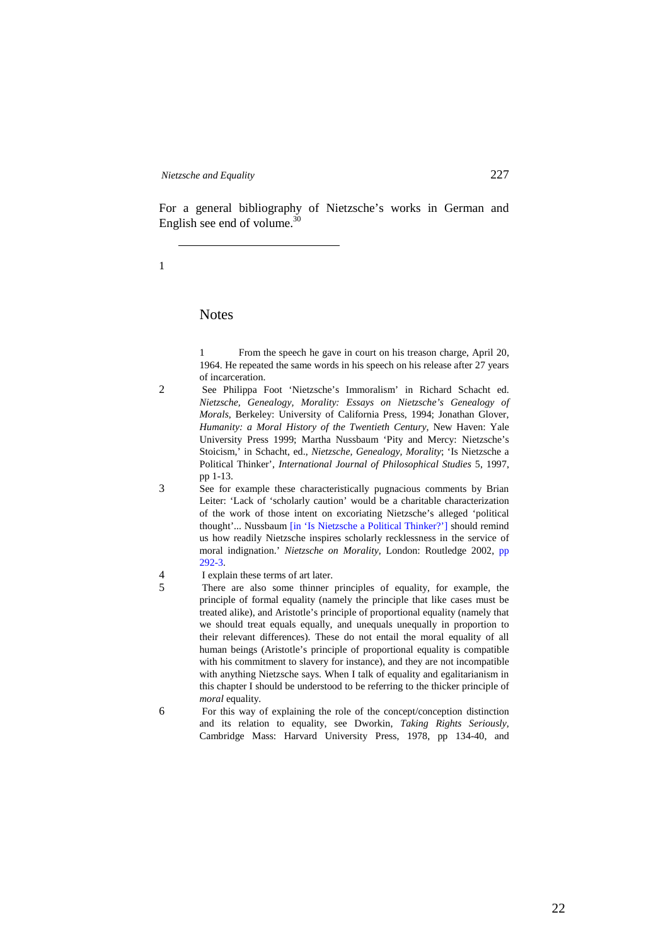For a general bibliography of Nietzsche's works in German and English see end of volume. $30$ 

1

# **Notes**

1 From the speech he gave in court on his treason charge, April 20, 1964. He repeated the same words in his speech on his release after 27 years of incarceration.

- 2 See Philippa Foot 'Nietzsche's Immoralism' in Richard Schacht ed. *Nietzsche, Genealogy, Morality: Essays on Nietzsche's Genealogy of Morals,* Berkeley: University of California Press, 1994; Jonathan Glover, *Humanity: a Moral History of the Twentieth Century,* New Haven: Yale University Press 1999; Martha Nussbaum 'Pity and Mercy: Nietzsche's Stoicism,' in Schacht, ed., *Nietzsche, Genealogy, Morality*; 'Is Nietzsche a Political Thinker', *International Journal of Philosophical Studies* 5, 1997, pp 1-13.
- 3 See for example these characteristically pugnacious comments by Brian Leiter: 'Lack of 'scholarly caution' would be a charitable characterization of the work of those intent on excoriating Nietzsche's alleged 'political thought'... Nussbaum [in 'Is Nietzsche a Political Thinker?'] should remind us how readily Nietzsche inspires scholarly recklessness in the service of moral indignation.' *Nietzsche on Morality,* London: Routledge 2002, pp 292-3.
- 4 I explain these terms of art later.
- 5 There are also some thinner principles of equality, for example, the principle of formal equality (namely the principle that like cases must be treated alike), and Aristotle's principle of proportional equality (namely that we should treat equals equally, and unequals unequally in proportion to their relevant differences). These do not entail the moral equality of all human beings (Aristotle's principle of proportional equality is compatible with his commitment to slavery for instance), and they are not incompatible with anything Nietzsche says. When I talk of equality and egalitarianism in this chapter I should be understood to be referring to the thicker principle of *moral* equality.
- 6 For this way of explaining the role of the concept/conception distinction and its relation to equality, see Dworkin, *Taking Rights Seriously,* Cambridge Mass: Harvard University Press, 1978, pp 134-40, and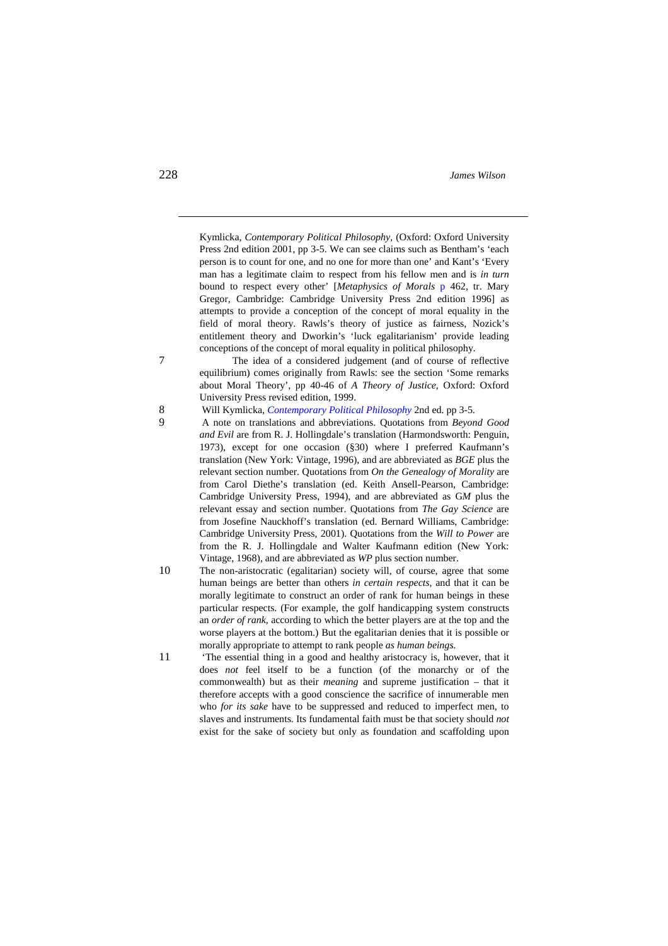Kymlicka, *Contemporary Political Philosophy,* (Oxford: Oxford University Press 2nd edition 2001, pp 3-5. We can see claims such as Bentham's 'each person is to count for one, and no one for more than one' and Kant's 'Every man has a legitimate claim to respect from his fellow men and is *in turn* bound to respect every other' [*Metaphysics of Morals* p 462, tr. Mary Gregor, Cambridge: Cambridge University Press 2nd edition 1996] as attempts to provide a conception of the concept of moral equality in the field of moral theory. Rawls's theory of justice as fairness, Nozick's entitlement theory and Dworkin's 'luck egalitarianism' provide leading conceptions of the concept of moral equality in political philosophy.

7 The idea of a considered judgement (and of course of reflective equilibrium) comes originally from Rawls: see the section 'Some remarks about Moral Theory', pp 40-46 of *A Theory of Justice,* Oxford: Oxford University Press revised edition, 1999.

- 9 A note on translations and abbreviations. Quotations from *Beyond Good and Evil* are from R. J. Hollingdale's translation (Harmondsworth: Penguin, 1973), except for one occasion (§30) where I preferred Kaufmann's translation (New York: Vintage, 1996), and are abbreviated as *BGE* plus the relevant section number. Quotations from *On the Genealogy of Morality* are from Carol Diethe's translation (ed. Keith Ansell-Pearson, Cambridge: Cambridge University Press, 1994), and are abbreviated as G*M* plus the relevant essay and section number. Quotations from *The Gay Science* are from Josefine Nauckhoff's translation (ed. Bernard Williams, Cambridge: Cambridge University Press, 2001). Quotations from the *Will to Power* are from the R. J. Hollingdale and Walter Kaufmann edition (New York: Vintage, 1968), and are abbreviated as *WP* plus section number.
- 10 The non-aristocratic (egalitarian) society will, of course, agree that some human beings are better than others *in certain respects,* and that it can be morally legitimate to construct an order of rank for human beings in these particular respects. (For example, the golf handicapping system constructs an *order of rank,* according to which the better players are at the top and the worse players at the bottom.) But the egalitarian denies that it is possible or morally appropriate to attempt to rank people *as human beings.*
- 11 'The essential thing in a good and healthy aristocracy is, however, that it does *not* feel itself to be a function (of the monarchy or of the commonwealth) but as their *meaning* and supreme justification – that it therefore accepts with a good conscience the sacrifice of innumerable men who *for its sake* have to be suppressed and reduced to imperfect men, to slaves and instruments. Its fundamental faith must be that society should *not* exist for the sake of society but only as foundation and scaffolding upon

<sup>8</sup> Will Kymlicka, *Contemporary Political Philosophy* 2nd ed. pp 3-5.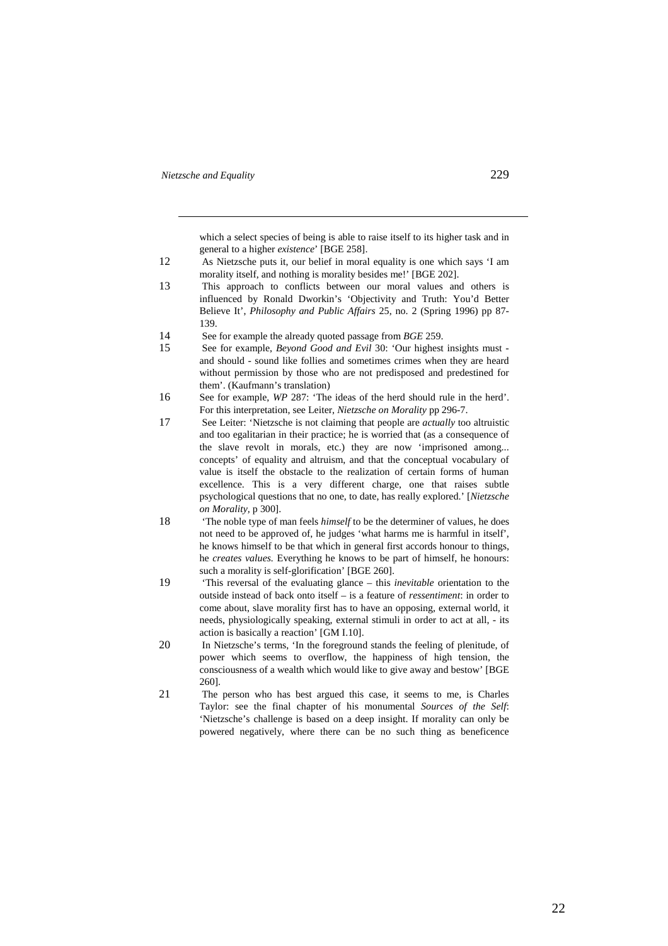which a select species of being is able to raise itself to its higher task and in general to a higher *existence*' [BGE 258].

- 12 As Nietzsche puts it, our belief in moral equality is one which says 'I am morality itself, and nothing is morality besides me!' [BGE 202].
- 13 This approach to conflicts between our moral values and others is influenced by Ronald Dworkin's 'Objectivity and Truth: You'd Better Believe It', *Philosophy and Public Affairs* 25, no. 2 (Spring 1996) pp 87- 139.
- 14 See for example the already quoted passage from *BGE* 259.
- 15 See for example, *Beyond Good and Evil* 30: 'Our highest insights must and should - sound like follies and sometimes crimes when they are heard without permission by those who are not predisposed and predestined for them'. (Kaufmann's translation)
- 16 See for example, *WP* 287: 'The ideas of the herd should rule in the herd'. For this interpretation, see Leiter, *Nietzsche on Morality* pp 296-7.
- 17 See Leiter: 'Nietzsche is not claiming that people are *actually* too altruistic and too egalitarian in their practice; he is worried that (as a consequence of the slave revolt in morals, etc.) they are now 'imprisoned among... concepts' of equality and altruism, and that the conceptual vocabulary of value is itself the obstacle to the realization of certain forms of human excellence. This is a very different charge, one that raises subtle psychological questions that no one, to date, has really explored.' [*Nietzsche on Morality,* p 300].
- 18 'The noble type of man feels *himself* to be the determiner of values, he does not need to be approved of, he judges 'what harms me is harmful in itself', he knows himself to be that which in general first accords honour to things, he *creates values.* Everything he knows to be part of himself, he honours: such a morality is self-glorification' [BGE 260].
- 19 'This reversal of the evaluating glance this *inevitable* orientation to the outside instead of back onto itself – is a feature of *ressentiment*: in order to come about, slave morality first has to have an opposing, external world, it needs, physiologically speaking, external stimuli in order to act at all, - its action is basically a reaction' [GM I.10].
- 20 In Nietzsche's terms, 'In the foreground stands the feeling of plenitude, of power which seems to overflow, the happiness of high tension, the consciousness of a wealth which would like to give away and bestow' [BGE 260].
- 21 The person who has best argued this case, it seems to me, is Charles Taylor: see the final chapter of his monumental *Sources of the Self*: 'Nietzsche's challenge is based on a deep insight. If morality can only be powered negatively, where there can be no such thing as beneficence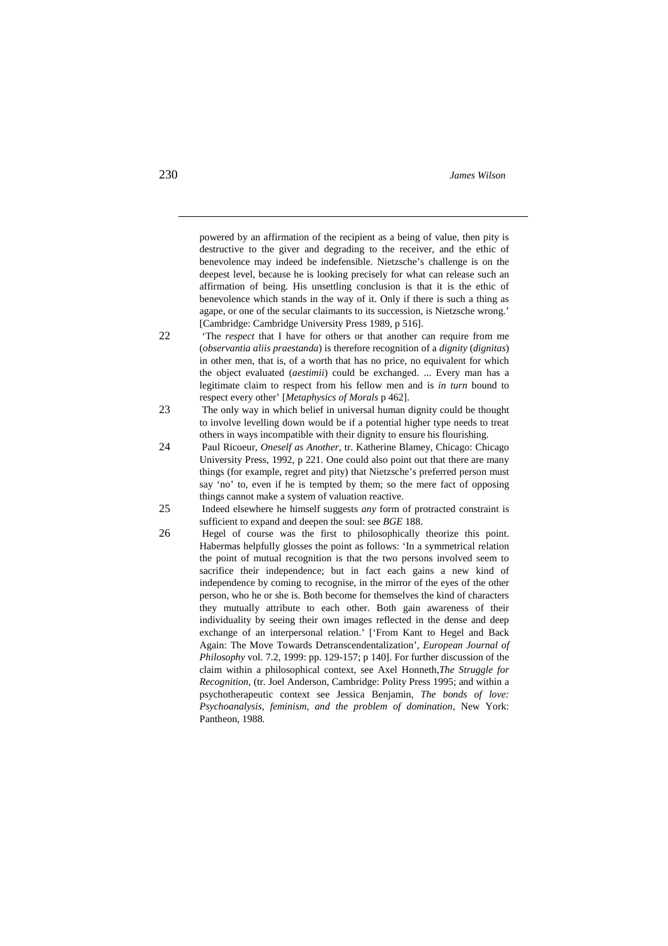powered by an affirmation of the recipient as a being of value, then pity is destructive to the giver and degrading to the receiver, and the ethic of benevolence may indeed be indefensible. Nietzsche's challenge is on the deepest level, because he is looking precisely for what can release such an affirmation of being. His unsettling conclusion is that it is the ethic of benevolence which stands in the way of it. Only if there is such a thing as agape, or one of the secular claimants to its succession, is Nietzsche wrong.' [Cambridge: Cambridge University Press 1989, p 516].

- 22 'The *respect* that I have for others or that another can require from me (*observantia aliis praestanda*) is therefore recognition of a *dignity* (*dignitas*) in other men, that is, of a worth that has no price, no equivalent for which the object evaluated (*aestimii*) could be exchanged. ... Every man has a legitimate claim to respect from his fellow men and is *in turn* bound to respect every other' [*Metaphysics of Morals* p 462].
- 23 The only way in which belief in universal human dignity could be thought to involve levelling down would be if a potential higher type needs to treat others in ways incompatible with their dignity to ensure his flourishing.
- 24 Paul Ricoeur, *Oneself as Another,* tr. Katherine Blamey, Chicago: Chicago University Press, 1992, p 221. One could also point out that there are many things (for example, regret and pity) that Nietzsche's preferred person must say 'no' to, even if he is tempted by them; so the mere fact of opposing things cannot make a system of valuation reactive.
- 25 Indeed elsewhere he himself suggests *any* form of protracted constraint is sufficient to expand and deepen the soul: see *BGE* 188.
- 26 Hegel of course was the first to philosophically theorize this point. Habermas helpfully glosses the point as follows: 'In a symmetrical relation the point of mutual recognition is that the two persons involved seem to sacrifice their independence; but in fact each gains a new kind of independence by coming to recognise, in the mirror of the eyes of the other person, who he or she is. Both become for themselves the kind of characters they mutually attribute to each other. Both gain awareness of their individuality by seeing their own images reflected in the dense and deep exchange of an interpersonal relation.' ['From Kant to Hegel and Back Again: The Move Towards Detranscendentalization', *European Journal of Philosophy* vol. 7.2, 1999: pp. 129-157; p 140]. For further discussion of the claim within a philosophical context, see Axel Honneth,*The Struggle for Recognition,* (tr. Joel Anderson, Cambridge: Polity Press 1995; and within a psychotherapeutic context see Jessica Benjamin, *The bonds of love: Psychoanalysis, feminism, and the problem of domination,* New York: Pantheon, 1988*.*